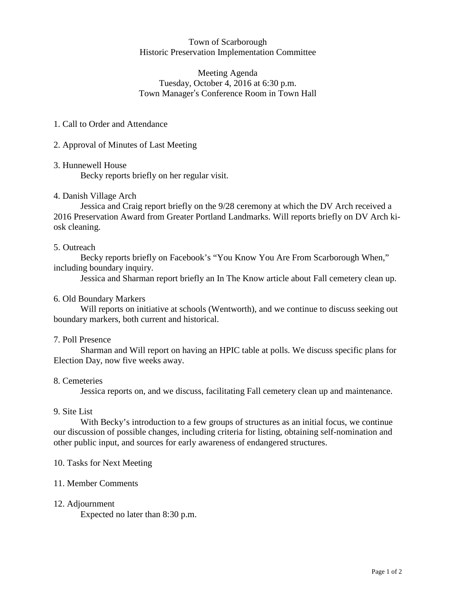## Town of Scarborough Historic Preservation Implementation Committee

# Meeting Agenda Tuesday, October 4, 2016 at 6:30 p.m. Town Manager's Conference Room in Town Hall

# 1. Call to Order and Attendance

# 2. Approval of Minutes of Last Meeting

### 3. Hunnewell House

Becky reports briefly on her regular visit.

# 4. Danish Village Arch

Jessica and Craig report briefly on the 9/28 ceremony at which the DV Arch received a 2016 Preservation Award from Greater Portland Landmarks. Will reports briefly on DV Arch kiosk cleaning.

# 5. Outreach

Becky reports briefly on Facebook's "You Know You Are From Scarborough When," including boundary inquiry.

Jessica and Sharman report briefly an In The Know article about Fall cemetery clean up.

## 6. Old Boundary Markers

Will reports on initiative at schools (Wentworth), and we continue to discuss seeking out boundary markers, both current and historical.

### 7. Poll Presence

Sharman and Will report on having an HPIC table at polls. We discuss specific plans for Election Day, now five weeks away.

### 8. Cemeteries

Jessica reports on, and we discuss, facilitating Fall cemetery clean up and maintenance.

## 9. Site List

With Becky's introduction to a few groups of structures as an initial focus, we continue our discussion of possible changes, including criteria for listing, obtaining self-nomination and other public input, and sources for early awareness of endangered structures.

### 10. Tasks for Next Meeting

### 11. Member Comments

### 12. Adjournment

Expected no later than 8:30 p.m.